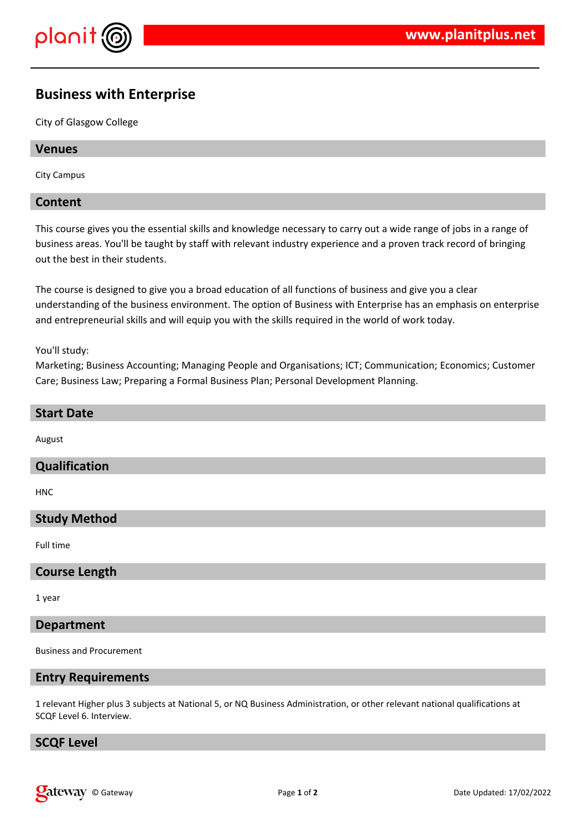

# **Business with Enterprise**

City of Glasgow College

#### **Venues**

City Campus

#### **Content**

This course gives you the essential skills and knowledge necessary to carry out a wide range of jobs in a range of business areas. You'll be taught by staff with relevant industry experience and a proven track record of bringing out the best in their students.

The course is designed to give you a broad education of all functions of business and give you a clear understanding of the business environment. The option of Business with Enterprise has an emphasis on enterprise and entrepreneurial skills and will equip you with the skills required in the world of work today.

You'll study:

Marketing; Business Accounting; Managing People and Organisations; ICT; Communication; Economics; Customer Care; Business Law; Preparing a Formal Business Plan; Personal Development Planning.

# **Start Date** August **Qualification**

HNC

## **Study Method**

Full time

#### **Course Length**

1 year

#### **Department**

Business and Procurement

#### **Entry Requirements**

1 relevant Higher plus 3 subjects at National 5, or NQ Business Administration, or other relevant national qualifications at SCQF Level 6. Interview.

# **SCQF Level**

**Cateway** © Gateway **Page 1** of 2 **Date Updated: 17/02/2022**